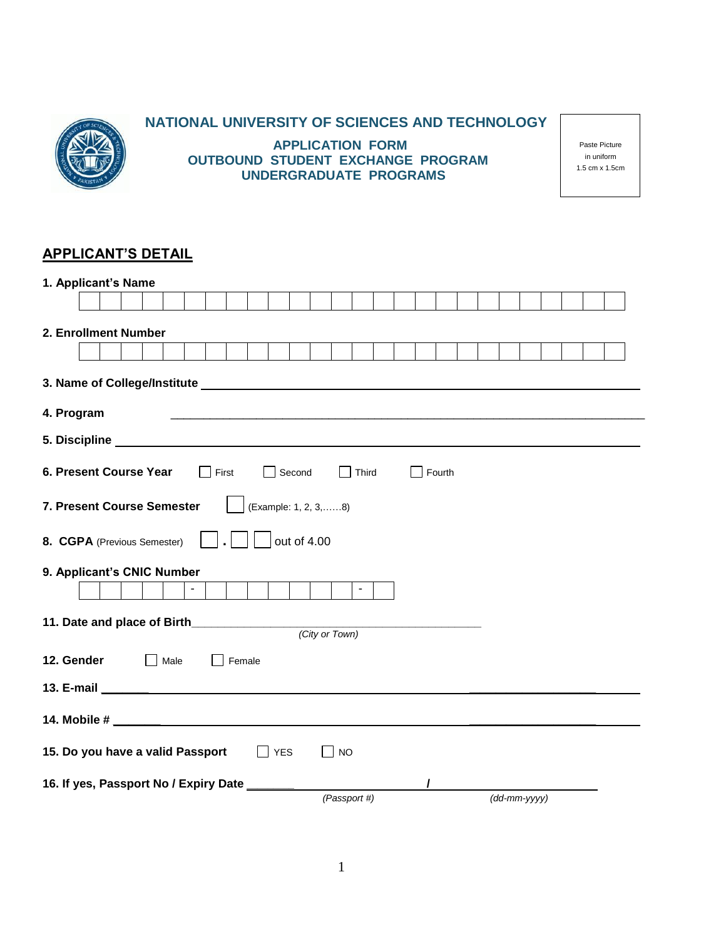

# **NATIONAL UNIVERSITY OF SCIENCES AND TECHNOLOGY**

**APPLICATION FORM OUTBOUND STUDENT EXCHANGE PROGRAM UNDERGRADUATE PROGRAMS**

Paste Picture in uniform 1.5 cm x 1.5cm

# **APPLICANT'S DETAIL**

| 1. Applicant's Name                                                                                                                                                                                                            |
|--------------------------------------------------------------------------------------------------------------------------------------------------------------------------------------------------------------------------------|
|                                                                                                                                                                                                                                |
| 2. Enrollment Number                                                                                                                                                                                                           |
|                                                                                                                                                                                                                                |
|                                                                                                                                                                                                                                |
| 3. Name of College/Institute example and the control of the control of the control of the control of the control of the control of the control of the control of the control of the control of the control of the control of t |
| 4. Program                                                                                                                                                                                                                     |
|                                                                                                                                                                                                                                |
| 6. Present Course Year<br>$\Box$ First<br>Second<br>$\Box$ Fourth<br>Third                                                                                                                                                     |
| 7. Present Course Semester<br>(Example: 1, 2, 3,8)                                                                                                                                                                             |
| out of 4.00<br>8. CGPA (Previous Semester)                                                                                                                                                                                     |
| 9. Applicant's CNIC Number                                                                                                                                                                                                     |
| $\sim$<br>$\blacksquare$                                                                                                                                                                                                       |
|                                                                                                                                                                                                                                |
| (City or Town)                                                                                                                                                                                                                 |
| 12. Gender<br>$\mathbb{R}^n$<br>Male<br>Female                                                                                                                                                                                 |
|                                                                                                                                                                                                                                |
|                                                                                                                                                                                                                                |
| 15. Do you have a valid Passport<br>$\Box$ NO<br><b>YES</b>                                                                                                                                                                    |
|                                                                                                                                                                                                                                |
| 16. If yes, Passport No / Expiry Date __                                                                                                                                                                                       |
| (Passport #)<br>$(dd\text{-}mm\text{-}yyyy)$                                                                                                                                                                                   |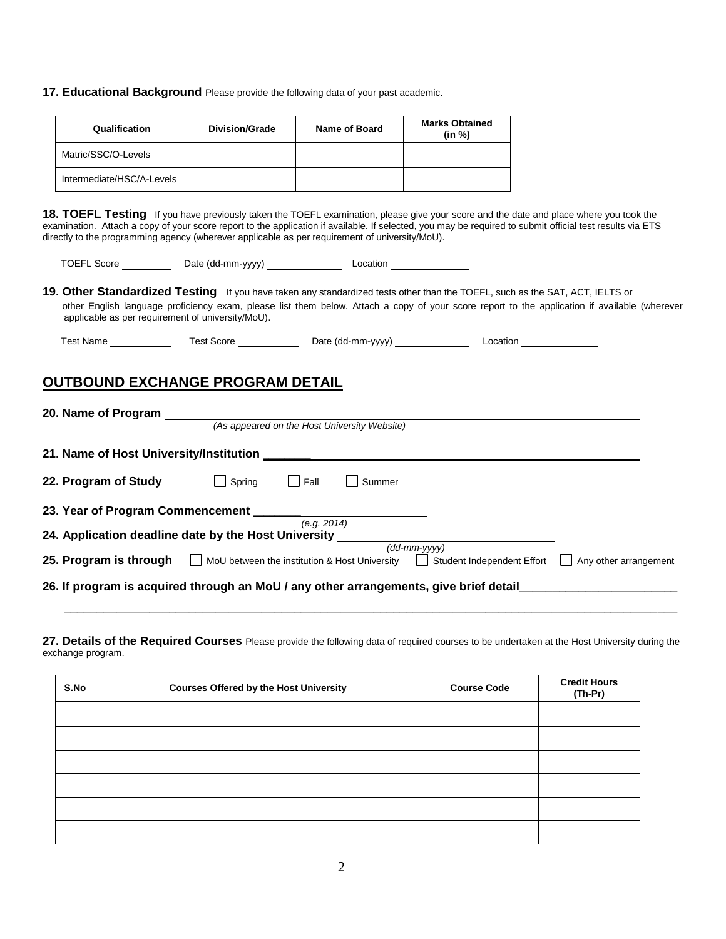**17. Educational Background** Please provide the following data of your past academic.

| Qualification             | <b>Division/Grade</b> | Name of Board | <b>Marks Obtained</b><br>(in %) |
|---------------------------|-----------------------|---------------|---------------------------------|
| Matric/SSC/O-Levels       |                       |               |                                 |
| Intermediate/HSC/A-Levels |                       |               |                                 |

18. TOEFL Testing If you have previously taken the TOEFL examination, please give your score and the date and place where you took the examination. Attach a copy of your score report to the application if available. If selected, you may be required to submit official test results via ETS directly to the programming agency (wherever applicable as per requirement of university/MoU).

| <b>TOEFL Score</b> | Date (dd-mm-yyyy) | Location |  |
|--------------------|-------------------|----------|--|
|                    |                   |          |  |

**19. Other Standardized Testing** If you have taken any standardized tests other than the TOEFL, such as the SAT, ACT, IELTS or other English language proficiency exam, please list them below. Attach a copy of your score report to the application if available (wherever applicable as per requirement of university/MoU).

| est<br>Nam. | Score<br>est | Date<br>-mm-vvvv<br>(dd-r<br>. | าcation |
|-------------|--------------|--------------------------------|---------|
|-------------|--------------|--------------------------------|---------|

### **OUTBOUND EXCHANGE PROGRAM DETAIL**

| 20. Name of Program                                                                   |                                               |             |                                              |                              |                       |
|---------------------------------------------------------------------------------------|-----------------------------------------------|-------------|----------------------------------------------|------------------------------|-----------------------|
|                                                                                       |                                               |             | (As appeared on the Host University Website) |                              |                       |
| 21. Name of Host University/Institution                                               |                                               |             |                                              |                              |                       |
| 22. Program of Study                                                                  | Spring                                        | Fall        | Summer                                       |                              |                       |
| 23. Year of Program Commencement                                                      |                                               | (e.g. 2014) |                                              |                              |                       |
| 24. Application deadline date by the Host University                                  |                                               |             |                                              | $(dd\text{-}mm\text{-}yyyy)$ |                       |
| 25. Program is through                                                                | MoU between the institution & Host University |             |                                              | Student Independent Effort   | Any other arrangement |
| 26. If program is acquired through an MoU / any other arrangements, give brief detail |                                               |             |                                              |                              |                       |
|                                                                                       |                                               |             |                                              |                              |                       |

**27. Details of the Required Courses** Please provide the following data of required courses to be undertaken at the Host University during the exchange program.

| S.No | <b>Courses Offered by the Host University</b> | <b>Course Code</b> | <b>Credit Hours</b><br>(Th-Pr) |
|------|-----------------------------------------------|--------------------|--------------------------------|
|      |                                               |                    |                                |
|      |                                               |                    |                                |
|      |                                               |                    |                                |
|      |                                               |                    |                                |
|      |                                               |                    |                                |
|      |                                               |                    |                                |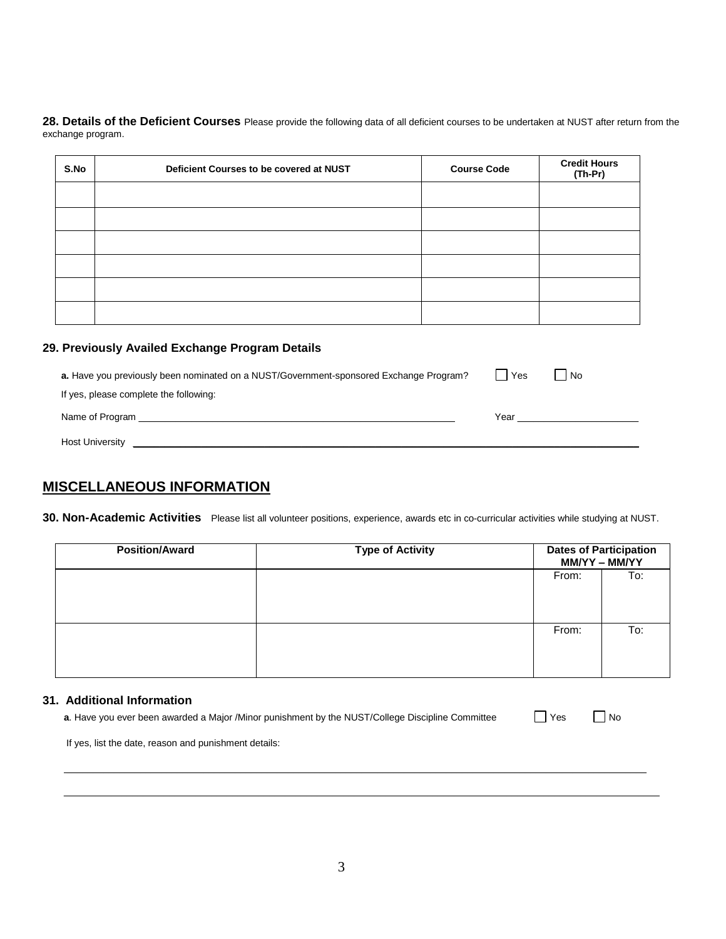28. Details of the Deficient Courses Please provide the following data of all deficient courses to be undertaken at NUST after return from the exchange program.

| S.No | Deficient Courses to be covered at NUST | <b>Course Code</b> | <b>Credit Hours</b><br>(Th-Pr) |
|------|-----------------------------------------|--------------------|--------------------------------|
|      |                                         |                    |                                |
|      |                                         |                    |                                |
|      |                                         |                    |                                |
|      |                                         |                    |                                |
|      |                                         |                    |                                |
|      |                                         |                    |                                |

#### **29. Previously Availed Exchange Program Details**

| a. Have you previously been nominated on a NUST/Government-sponsored Exchange Program?                                                   | Yes  | No |  |
|------------------------------------------------------------------------------------------------------------------------------------------|------|----|--|
| If yes, please complete the following:                                                                                                   |      |    |  |
| Name of Program<br><u> 1980 - Jan James Santan, masjid a shekara ta 1980 a shekara ta 1980 a shekara ta 1980 a shekara ta 1980 a she</u> | Year |    |  |
| <b>Host University</b><br><u> 1989 - Johann Stoff, fransk politik (d. 1989)</u>                                                          |      |    |  |
|                                                                                                                                          |      |    |  |

#### **MISCELLANEOUS INFORMATION**

**30. Non-Academic Activities** Please list all volunteer positions, experience, awards etc in co-curricular activities while studying at NUST.

| <b>Position/Award</b> | <b>Type of Activity</b> |       | <b>Dates of Participation</b><br>MM/YY - MM/YY |
|-----------------------|-------------------------|-------|------------------------------------------------|
|                       |                         | From: | To:                                            |
|                       |                         | From: | To:                                            |

#### **31. Additional Information**

| $\Box$ Yes<br>a. Have you ever been awarded a Major /Minor punishment by the NUST/College Discipline Committee | $\Box$ No |  |  |
|----------------------------------------------------------------------------------------------------------------|-----------|--|--|
|----------------------------------------------------------------------------------------------------------------|-----------|--|--|

 $\mathcal{L}_\text{max} = \frac{1}{2} \sum_{i=1}^{n} \mathcal{L}_i \mathcal{L}_i + \frac{1}{2} \sum_{i=1}^{n} \mathcal{L}_i \mathcal{L}_i + \frac{1}{2} \sum_{i=1}^{n} \mathcal{L}_i \mathcal{L}_i + \frac{1}{2} \sum_{i=1}^{n} \mathcal{L}_i \mathcal{L}_i + \frac{1}{2} \sum_{i=1}^{n} \mathcal{L}_i \mathcal{L}_i + \frac{1}{2} \sum_{i=1}^{n} \mathcal{L}_i \mathcal{L}_i + \frac{1}{2} \sum_{i=1}^{n$ \_\_\_\_\_\_\_\_\_\_\_\_\_\_\_\_\_\_\_\_\_\_\_\_\_\_\_\_\_\_\_\_\_\_\_\_\_\_\_\_\_\_\_\_\_\_\_\_\_\_\_\_\_\_\_\_\_\_\_\_\_\_\_\_\_\_\_\_\_\_\_\_\_\_\_\_\_\_\_\_\_\_\_\_\_\_\_\_\_\_\_\_\_\_\_\_\_\_\_\_\_\_\_\_\_\_\_\_\_\_\_\_\_

If yes, list the date, reason and punishment details: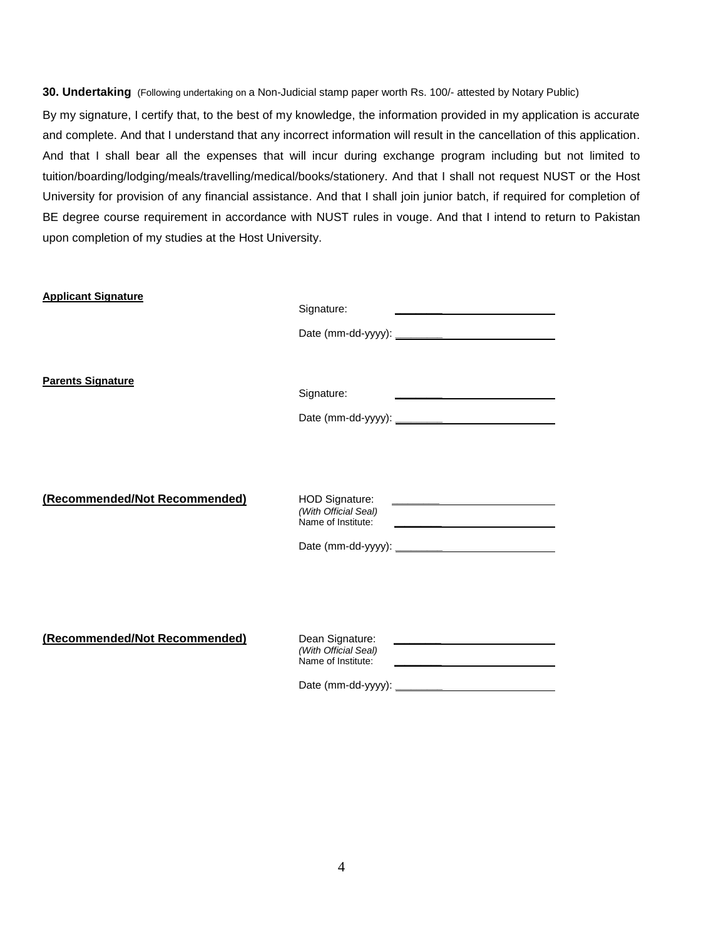**30. Undertaking** (Following undertaking on a Non-Judicial stamp paper worth Rs. 100/- attested by Notary Public)

By my signature, I certify that, to the best of my knowledge, the information provided in my application is accurate and complete. And that I understand that any incorrect information will result in the cancellation of this application. And that I shall bear all the expenses that will incur during exchange program including but not limited to tuition/boarding/lodging/meals/travelling/medical/books/stationery. And that I shall not request NUST or the Host University for provision of any financial assistance. And that I shall join junior batch, if required for completion of BE degree course requirement in accordance with NUST rules in vouge. And that I intend to return to Pakistan upon completion of my studies at the Host University.

| <b>Applicant Signature</b>    | Signature:                                                                                                                                                                           |
|-------------------------------|--------------------------------------------------------------------------------------------------------------------------------------------------------------------------------------|
| <b>Parents Signature</b>      | Signature:<br><u> 1980 - Johann John Stein, markin santa a shekara ta 1980 - An tsa a shekara ta 1980 - An tsa a shekara tsa a</u>                                                   |
| (Recommended/Not Recommended) | HOD Signature:<br>(With Official Seal)<br>Name of Institute:<br><u> 1980 - Johann John Stein, markin santa shekara 1980 - An an tsara 1980 - An an tsara 1980 - An an tsara 1980</u> |
| (Recommended/Not Recommended) | Dean Signature:<br>(With Official Seal)<br>Name of Institute:                                                                                                                        |

Date (mm-dd-yyyy): **\_\_\_\_\_\_\_\_\_**